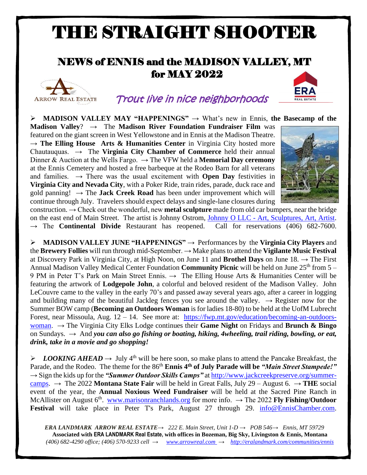# THE STRAIGHT SHOOTER

## NEWS of ENNIS and the MADISON VALLEY, MT for MAY 2022



## Trout live in nice neighborhoods

➢ **MADISON VALLEY MAY "HAPPENINGS"** → What's new in Ennis, **the Basecamp of the** 

**Madison Valley**? → The **Madison River Foundation Fundraiser Film** was featured on the giant screen in West Yellowstone and in Ennis at the Madison Theatre. → **The Elling House Arts & Humanities Center** in Virginia City hosted more Chautauquas. → The **Virginia City Chamber of Commerce** held their annual Dinner & Auction at the Wells Fargo.  $\rightarrow$  The VFW held a **Memorial Day ceremony** at the Ennis Cemetery and hosted a free barbeque at the Rodeo Barn for all veterans and families.  $\rightarrow$  There was the usual excitement with **Open Day** festivities in **Virginia City and Nevada City**, with a Poker Ride, train rides, parade, duck race and gold panning!  $\rightarrow$  The **Jack Creek Road** has been under improvement which will continue through July. Travelers should expect delays and single-lane closures during



construction. → Check out the wonderful, new **metal sculpture** made from old car bumpers, near the bridge on the east end of Main Street. The artist is Johnny Ostrom, Johnny O LLC - [Art, Sculptures, Art, Artist.](https://johnnyollc.com/) The **Continental Divide** Restaurant has reopened. Call for reservations (406) 682-7600.

➢ **MADISON VALLEY JUNE "HAPPENINGS"** → Performances by the **Virginia City Players** and the **Brewery Follies** will run through mid-September. → Make plans to attend the **Vigilante Music Festival** at Discovery Park in Virginia City, at High Noon, on June 11 and **Brothel Days** on June 18. → The First Annual Madison Valley Medical Center Foundation **Community Picnic** will be held on June 25<sup>th</sup> from 5 – 9 PM in Peter T's Park on Main Street Ennis.  $\rightarrow$  The Elling House Arts & Humanities Center will be featuring the artwork of **Lodgepole John**, a colorful and beloved resident of the Madison Valley. John LeCouvre came to the valley in the early 70's and passed away several years ago, after a career in logging and building many of the beautiful Jackleg fences you see around the valley.  $\rightarrow$  Register now for the Summer BOW camp (**Becoming an Outdoors Woman** is for ladies 18-80) to be held at the UofM Lubrecht Forest, near Missoula, Aug. 12 – 14. See more at: [https://fwp.mt.gov/education/becoming-an-outdoors](https://fwp.mt.gov/education/becoming-an-outdoors-woman)[woman.](https://fwp.mt.gov/education/becoming-an-outdoors-woman) → The Virginia City Elks Lodge continues their **Game Night** on Fridays and **Brunch & Bingo** on Sundays.  $\rightarrow$  And *you can also go fishing or boating, hiking, 4wheeling, trail riding, bowling, or eat, drink, take in a movie and go shopping!*

 $\triangleright$  *LOOKING AHEAD*  $\rightarrow$  July 4<sup>th</sup> will be here soon, so make plans to attend the Pancake Breakfast, the Parade, and the Rodeo. The theme for the 86<sup>th</sup> **Ennis 4<sup>th</sup> of July Parade will be** *"Main Street Stampede!"* → Sign the kids up for the *"Summer Outdoor Skills Camps"* a[t http://www.jackcreekpreserve.org/summer](http://www.jackcreekpreserve.org/summer-camps)[camps.](http://www.jackcreekpreserve.org/summer-camps)  $\rightarrow$  The 2022 **Montana State Fair** will be held in Great Falls, July 29 – August 6.  $\rightarrow$  **THE** social event of the year, the **Annual Noxious Weed Fundraiser** will be held at the Sacred Pine Ranch in McAllister on August 6<sup>th</sup>. [www.marisonranchlands.org](http://www.marisonranchlands.org/) for more info. → The 2022 **Fly Fishing/Outdoor** Festival will take place in Peter T's Park, August 27 through 29. [info@EnnisChamber.com.](mailto:info@EnnisChamber.com)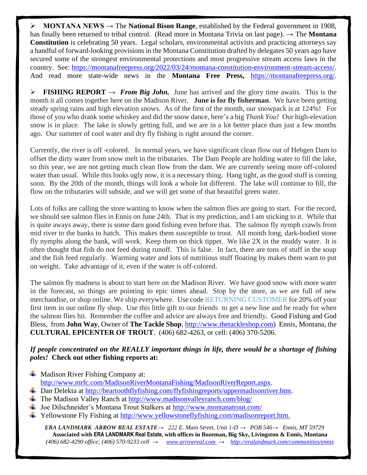➢ **MONTANA NEWS →** The **National Bison Range**, established by the Federal government in 1908, has finally been returned to tribal control. (Read more in Montana Trivia on last page). → The **Montana Constitution** is celebrating 50 years. Legal scholars, environmental activists and practicing attorneys say a handful of forward-looking provisions in the Montana Constitution drafted by delegates 50 years ago have secured some of the strongest environmental protections and most progressive stream access laws in the country. See: [https://montanafreepress.org/2022/03/24/montana-constitution-environment-stream-access/.](https://montanafreepress.org/2022/03/24/montana-constitution-environment-stream-access/) And read more state-wide news in the **Montana Free Press,** [https://montanafreepress.org/.](https://montanafreepress.org/)

**FISHING REPORT**  $\rightarrow$  *From Big John.* June has arrived and the glory time awaits. This is the month it all comes together here on the Madison River. **June is for fly fisherman**. We have been getting steady spring rains and high elevation snows. As of the first of the month, our snowpack is at 124%! For those of you who drank some whiskey and did the snow dance, here's a big *Thank You!* Our high-elevation snow is in place. The lake is slowly getting full, and we are in a lot better place than just a few months ago. Our summer of cool water and dry fly fishing is right around the corner.

Currently, the river is off -colored. In normal years, we have significant clean flow out of Hebgen Dam to offset the dirty water from snow melt in the tributaries. The Dam People are holding water to fill the lake, so this year, we are not getting much clean flow from the dam. We are currently seeing more off-colored water than usual. While this looks ugly now, it is a necessary thing. Hang tight, as the good stuff is coming soon. By the 20th of the month, things will look a whole lot different. The lake will continue to fill, the flow on the tributaries will subside, and we will get some of that beautiful green water.

Lots of folks are calling the store wanting to know when the salmon flies are going to start. For the record, we should see salmon flies in Ennis on June 24th. That is my prediction, and I am sticking to it. While that is quite aways away, there is some darn good fishing even before that. The salmon fly nymph crawls from mid river to the banks to hatch. This makes them susceptible to trout. All month long, dark-bodied stone fly nymphs along the bank, will work. Keep them on thick tippet. We like 2X in the muddy water. It is often thought that fish do not feed during runoff. This is false. In fact, there are tons of stuff in the soup and the fish feed regularly. Warming water and lots of nutritious stuff floating by makes them want to put on weight. Take advantage of it, even if the water is off-colored.

The salmon fly madness is about to start here on the Madison River. We have good snow with more water in the forecast, so things are pointing to epic times ahead. Stop by the store, as we are full of new merchandise, or shop online. We ship everywhere. Use code RETURNING CUSTOMER for 20% off your first item in our online fly shop. Use this little gift to our friends to get a new line and be ready for when the salmon flies hit. Remember the coffee and advice are always free and friendly. Good Fishing and God Bless, from **John Way**, Owner of **The Tackle Shop**[, http://www.thetackleshop.com\)](http://www.thetackleshop.com/) Ennis, Montana, the **CULTURAL EPICENTER OF TROUT**. (406) 682-4263, or cell: (406) 370-5206.

#### *If people concentrated on the REALLY important things in life, there would be a shortage of fishing poles!* **Check out other fishing reports at:**

- $\overline{\phantom{a}}$  Madison River Fishing Company at: [http://www.mrfc.com/MadisonRiverMontanaFishing/MadisonRiverReport.aspx.](http://www.mrfc.com/MadisonRiverMontanaFishing/MadisonRiverReport.aspx)
- Dan Delekta at [http://beartoothflyfishing.com/flyfishingreports/uppermadisonriver.htm.](http://beartoothflyfishing.com/flyfishingreports/uppermadisonriver.htm)
- The Madison Valley Ranch at<http://www.madisonvalleyranch.com/blog/>
- Joe Dilschneider's Montana Trout Stalkers at<http://www.montanatrout.com/>
- $\ddot{\text{+}}$  Yellowstone Fly Fishing at [http://www.yellowstoneflyfishing.com/madisonreport.htm.](http://www.yellowstoneflyfishing.com/madisonreport.htm)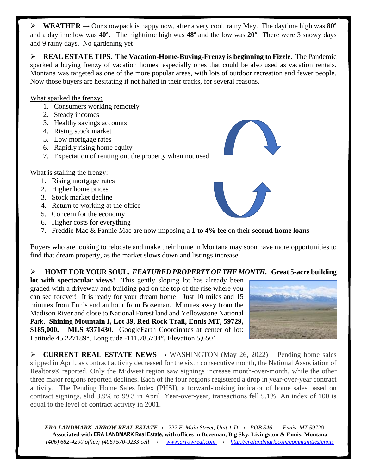$\triangleright$  **WEATHER**  $\rightarrow$  Our snowpack is happy now, after a very cool, rainy May. The daytime high was 80<sup>°</sup> and a daytime low was **40°.** The nighttime high was **48°** and the low was **20°**. There were 3 snowy days and 9 rainy days. No gardening yet!

➢ **REAL ESTATE TIPS. The Vacation-Home-Buying-Frenzy is beginning to Fizzle.** The Pandemic sparked a buying frenzy of vacation homes, especially ones that could be also used as vacation rentals. Montana was targeted as one of the more popular areas, with lots of outdoor recreation and fewer people. Now those buyers are hesitating if not halted in their tracks, for several reasons.

What sparked the frenzy:

- 1. Consumers working remotely
- 2. Steady incomes
- 3. Healthy savings accounts
- 4. Rising stock market
- 5. Low mortgage rates
- 6. Rapidly rising home equity
- 7. Expectation of renting out the property when not used

#### What is stalling the frenzy:

- 1. Rising mortgage rates
- 2. Higher home prices
- 3. Stock market decline
- 4. Return to working at the office
- 5. Concern for the economy
- 6. Higher costs for everything
- 7. Freddie Mac & Fannie Mae are now imposing a **1 to 4% fee** on their **second home loans**

Buyers who are looking to relocate and make their home in Montana may soon have more opportunities to find that dream property, as the market slows down and listings increase.

#### ➢ **HOME FOR YOUR SOUL***. FEATURED PROPERTY OF THE MONTH.* **Great 5-acre building**

**lot with spectacular views!** This gently sloping lot has already been graded with a driveway and building pad on the top of the rise where you can see forever! It is ready for your dream home! Just 10 miles and 15 minutes from Ennis and an hour from Bozeman. Minutes away from the Madison River and close to National Forest land and Yellowstone National Park. **Shining Mountain I, Lot 39, Red Rock Trail, Ennis MT, 59729, \$185,000. MLS #371430.** GoogleEarth Coordinates at center of lot: Latitude 45.227189°, Longitude -111.785734°, Elevation 5,650'.



➢ **CURRENT REAL ESTATE NEWS →** WASHINGTON (May 26, 2022) – Pending home sales slipped in April, as contract activity decreased for the sixth consecutive month, the National Association of Realtors® reported. Only the Midwest region saw signings increase month-over-month, while the other three major regions reported declines. Each of the four regions registered a drop in year-over-year contract activity. The Pending Home Sales Index (PHSI), a forward-looking indicator of home sales based on contract signings, slid 3.9% to 99.3 in April. Year-over-year, transactions fell 9.1%. An index of 100 is equal to the level of contract activity in 2001.

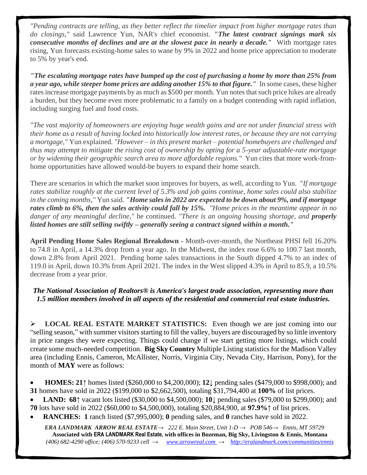*"Pending contracts are telling, as they better reflect the timelier impact from higher mortgage rates than do closings,"* said Lawrence Yun, NAR's chief economist. *"The latest contract signings mark six consecutive months of declines and are at the slowest pace in nearly a decade."* With mortgage rates rising, Yun forecasts existing-home sales to wane by 9% in 2022 and home price appreciation to moderate to 5% by year's end.

*"The escalating mortgage rates have bumped up the cost of purchasing a home by more than 25% from a year ago, while steeper home prices are adding another 15% to that figure."* In some cases, these higher rates increase mortgage payments by as much as \$500 per month. Yun notes that such price hikes are already a burden, but they become even more problematic to a family on a budget contending with rapid inflation, including surging fuel and food costs.

*"The vast majority of homeowners are enjoying huge wealth gains and are not under financial stress with their home as a result of having locked into historically low interest rates, or because they are not carrying a mortgage,"* Yun explained. *"However – in this present market – potential homebuyers are challenged and thus may attempt to mitigate the rising cost of ownership by opting for a 5-year adjustable-rate mortgage or by widening their geographic search area to more affordable regions."* Yun cites that more work-fromhome opportunities have allowed would-be buyers to expand their home search.

There are scenarios in which the market soon improves for buyers, as well, according to Yun. "*If mortgage rates stabilize roughly at the current level of 5.3% and job gains continue, home sales could also stabilize in the coming months,"* Yun said. *"Home sales in 2022 are expected to be down about 9%, and if mortgage rates climb to 6%, then the sales activity could fall by 15%. "Home prices in the meantime appear in no danger of any meaningful decline,"* he continued. *"There is an ongoing housing shortage, and properly listed homes are still selling swiftly – generally seeing a contract signed within a month."*

**April Pending Home Sales Regional Breakdown -** Month-over-month, the Northeast PHSI fell 16.20% to 74.8 in April, a 14.3% drop from a year ago. In the Midwest, the index rose 6.6% to 100.7 last month, down 2.8% from April 2021. Pending home sales transactions in the South dipped 4.7% to an index of 119.0 in April, down 10.3% from April 2021. The index in the West slipped 4.3% in April to 85.9, a 10.5% decrease from a year prior.

*The National Association of Realtors® is America's largest trade association, representing more than 1.5 million members involved in all aspects of the residential and commercial real estate industries.*

➢ **LOCAL REAL ESTATE MARKET STATISTICS:** Even though we are just coming into our "selling season," with summer visitors starting to fill the valley, buyers are discouraged by so little inventory in price ranges they were expecting. Things could change if we start getting more listings, which could create some much-needed competition. **Big Sky Country** Multiple Listing statistics for the Madison Valley area (including Ennis, Cameron, McAllister, Norris, Virginia City, Nevada City, Harrison, Pony), for the month of **MAY** were as follows:

• **HOMES: 21↑** homes listed (\$260,000 to \$4,200,000); **12↓** pending sales (\$479,000 to \$998,000); and **31** homes have sold in 2022 (\$199,000 to \$2,662,500), totaling \$31,794,400 at **100%** of list prices.

• **LAND: 68↑** vacant lots listed (\$30,000 to \$4,500,000); **10↓** pending sales (\$79,000 to \$299,000); and **70** lots have sold in 2022 (\$60,000 to \$4,500,000), totaling \$20,884,900, at **97.9%↑** of list prices.

• **RANCHES: 1** ranch listed (\$7,995,000); **0** pending sales, and **0** ranches have sold in 2022.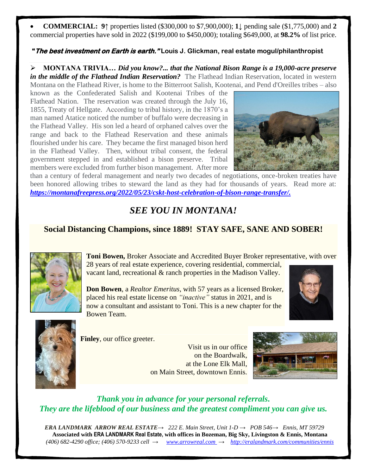• **COMMERCIAL: 9↑** properties listed (\$300,000 to \$7,900,000); **1↓** pending sale (\$1,775,000) and **2** commercial properties have sold in 2022 (\$199,000 to \$450,000); totaling \$649,000, at **98.2%** of list price.

#### **"The best investment on Earth is earth." Louis J. Glickman, real estate mogul/philanthropist**

➢ **MONTANA TRIVIA…** *Did you know?... that the National Bison Range is a 19,000-acre preserve in the middle of the Flathead Indian Reservation?* The Flathead Indian Reservation, located in western Montana on the Flathead River, is home to the Bitterroot Salish, Kootenai, and Pend d'Oreilles tribes – also

known as the Confederated Salish and Kootenai Tribes of the Flathead Nation. The reservation was created through the July 16, 1855, Treaty of Hellgate. According to tribal history, in the 1870's a man named Atatice noticed the number of buffalo were decreasing in the Flathead Valley. His son led a heard of orphaned calves over the range and back to the Flathead Reservation and these animals flourished under his care. They became the first managed bison herd in the Flathead Valley. Then, without tribal consent, the federal government stepped in and established a bison preserve. Tribal members were excluded from further bison management. After more



than a century of federal management and nearly two decades of negotiations, once-broken treaties have been honored allowing tribes to steward the land as they had for thousands of years. Read more at: *[https://montanafreepress.org/2022/05/23/cskt-host-celebration-of-bison-range-transfer/.](https://montanafreepress.org/2022/05/23/cskt-host-celebration-of-bison-range-transfer/)* 

### *SEE YOU IN MONTANA!*

#### **Social Distancing Champions, since 1889! STAY SAFE, SANE AND SOBER!**



**Toni Bowen,** Broker Associate and Accredited Buyer Broker representative, with over 28 years of real estate experience, covering residential, commercial, vacant land, recreational & ranch properties in the Madison Valley.

**Don Bowen**, a *Realtor Emeritus*, with 57 years as a licensed Broker, placed his real estate license on *"inactive"* status in 2021, and is now a consultant and assistant to Toni. This is a new chapter for the Bowen Team.





**Finley**, our office greeter.

Visit us in our office on the Boardwalk, at the Lone Elk Mall, on Main Street, downtown Ennis.



*Thank you in advance for your personal referrals. They are the lifeblood of our business and the greatest compliment you can give us.*